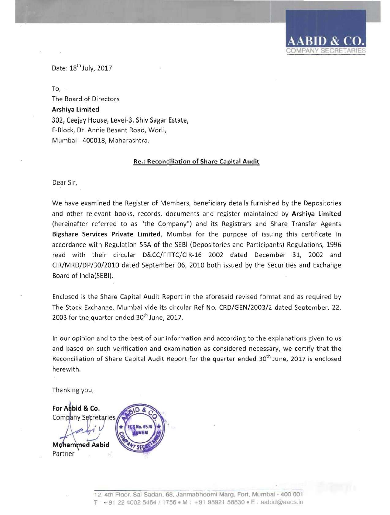Date: 18<sup>th</sup> July, 2017

To, The Board of Directors Arshiya limited 302, Ceejay House, Level-3, Shiv Sagar Estate, F-Block, Dr. Annie Besant Road, Worli, Mumbai - 400018, Maharashtra.

## Re.: Reconciliation of Share Capital Audit

Dear Sir,

We have examined the Register of Members, beneficiary details furnished by the Depositories and other relevant books, records, documents and register maintained by Arshiya Limited (hereinafter referred to as "the Company") and its Registrars and Share Transfer Agents Bigshare Services Private limited, Mumbai for the purpose of issuing this certificate in accordance with Regulation 55A of the SEBI (Depositories and Participants) Regulations, 1996 read with their circular D&CC/FITIC/CIR-16 2002 dated December 31, 2002 and CIR/MRD/DP/30/2010 dated September 06, 2010 both issued by the Securities and Exchange Board of India(SEBI).

Enclosed is the Share Capital Audit Report in the aforesaid revised format and as required by The Stock Exchange, Mumbai vide its circular Ref No. CRD/GEN/2003/2 dated September, 22, 2003 for the quarter ended 30<sup>th</sup> June, 2017.

In our opinion and to the best of our information and according to the explanations given to us and based on such verification and examination as considered necessary, we certify that the Reconciliation of Share Capital Audit Report for the quarter ended 30<sup>th</sup> June, 2017 is enclosed herewith.

Thanking you,

For Aabid & Co. Complany Secretaries No. 65 **Mohammed Aabid** Partner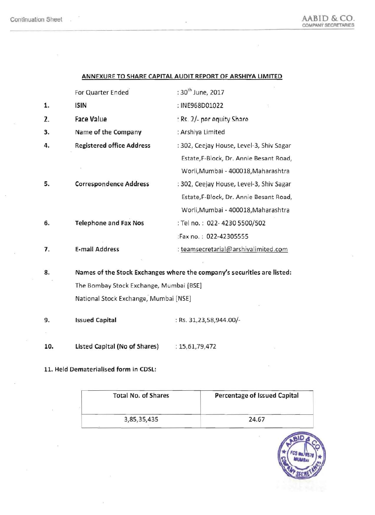### ANNEXURE TO SHARE CAPITAL AUDIT REPORT OF ARSHIYA LIMITED

|    | For Quarter Ended                                                       | : 30 <sup>th</sup> June, 2017            |  |
|----|-------------------------------------------------------------------------|------------------------------------------|--|
| 1. | ISIN                                                                    | : INE968D01022                           |  |
| 2. | <b>Face Value</b>                                                       | : Rs. 2/- per equity Share               |  |
| 3. | Name of the Company                                                     | : Arshiya Limited                        |  |
| 4. | <b>Registered office Address</b>                                        | : 302, Ceejay House, Level-3, Shiv Sagar |  |
|    |                                                                         | Estate, F-Block, Dr. Annie Besant Road,  |  |
|    |                                                                         | Worli, Mumbai - 400018, Maharashtra      |  |
| 5. | <b>Correspondence Address</b>                                           | : 302, Ceejay House, Level-3, Shiv Sagar |  |
|    |                                                                         | Estate, F-Block, Dr. Annie Besant Road,  |  |
|    |                                                                         | Worli, Mumbai - 400018, Maharashtra      |  |
| 6. | <b>Telephone and Fax Nos</b>                                            | : Tel no.: 022-4230 5500/502             |  |
|    |                                                                         | :Fax no.: 022-42305555                   |  |
| 7. | <b>E-mail Address</b>                                                   | : teamsecretarial@arshiyalimited.com     |  |
|    |                                                                         |                                          |  |
| 8. | Names of the Stock Exchanges where the company's securities are listed: |                                          |  |
|    | The Bombay Stock Exchange, Mumbai [BSE]                                 |                                          |  |

National Stock Exchange, Mumbai [NSE]

9. Issued Capital : Rs. 31,23,58,944.00/-

10. Listed Capital (No of Shares) : 15,61,79,472

11. Held Dematerialised form in CDSl:

 $\alpha$  .

| <b>Total No. of Shares</b> | Percentage of Issued Capital |  |  |
|----------------------------|------------------------------|--|--|
| 3,85,35,435                | 24.67                        |  |  |

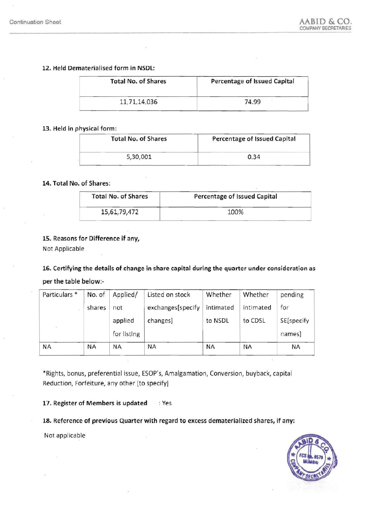# 12. Held Dematerialised form in NSDL:

| <b>Total No. of Shares</b> |              | Percentage of Issued Capital |  |  |
|----------------------------|--------------|------------------------------|--|--|
|                            | 11,71,14,036 | 74.99                        |  |  |

# 13. Held in physical form:

| <b>Total No. of Shares</b> | Percentage of Issued Capital |  |  |
|----------------------------|------------------------------|--|--|
| 5,30,001                   | 0.34                         |  |  |

# 14. Total No. of Shares:

| <b>Total No. of Shares</b> | <b>Percentage of Issued Capital</b> |  |
|----------------------------|-------------------------------------|--|
| 15,61,79,472               | 100%                                |  |

# 15. Reasons for Difference if any,

Not Applicable

16. Certifying the details of change in share capital during the quarter under consideration as

per the table below:

| Particulars <sup>*</sup> | No. of | Applied/               | Listed on stock   | Whether   | Whether   | pending              |
|--------------------------|--------|------------------------|-------------------|-----------|-----------|----------------------|
|                          | shares | not                    | exchanges[specify | intimated | intimated | for                  |
| $\mathcal{A}$ .          |        | applied<br>for listing | changes]          | to NSDL   | to CDSL   | SE[specify<br>names] |
| <b>NA</b>                | NА     | <b>NA</b>              | ΝA                | <b>NA</b> | <b>NA</b> | NA                   |

\*Rights, bonus, preferential issue, ESOP's, Amalgamation, Conversion, buyback, capital Reduction, Forfeiture, any other [to specify]

17. Register of Members is updated : Yes

18. Reference of previous Quarter with regard to excess dematerialized shares, if any:

Not applicable

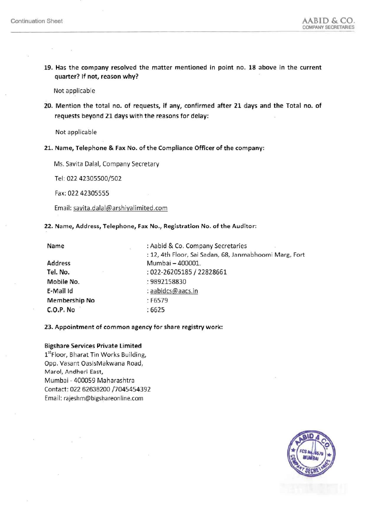19. Has the company resolved the matter mentioned in point no. 18 above in the current quarter? If not, reason why?

Not applicable

20. Mention the total no. of requests, if any, confirmed after 21 days and the Total no. of requests beyond 21 days with the reasons for delay:

Not applicable

21. Name, Telephone & Fax No. of the Compliance Officer of the company:

Ms. Savita Dalal, Company Secretary

Tel: 022 42305500/502

Fax: 022 42305555

Email: savita.dalal@arshiyalimited.com

22. Name, Address, Telephone, Fax No., Registration No. of the Auditor:

| Name                 | : Aabid & Co. Company Secretaries<br>彩                 |
|----------------------|--------------------------------------------------------|
|                      | : 12, 4th Floor, Sai Sadan, 68, Janmabhoomi Marg, Fort |
| <b>Address</b>       | Mumbai - 400001.                                       |
| Tel. No.<br>2th      | : 022-26205185 / 22828661                              |
| Mobile No.           | : 9892158830                                           |
| E-Mail Id            | : aabidcs@aacs.in                                      |
| <b>Membership No</b> | : F6579                                                |
| C.O.P. No            | :6625                                                  |

#### 23. Appointment of common agency for share registry work:

### Bigshare Services Private Limited

1<sup>st</sup>Floor, Bharat Tin Works Building, Opp. Vasant OasisMakwana Road, Marol, Andheri East, Mumbai - 400059 Maharashtra Contact: 022 62638200/7045454392 Email: rajeshm@bigshareonline.com